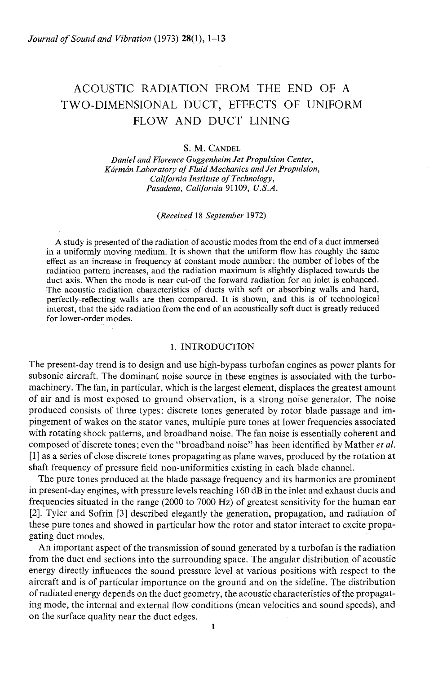# ACOUSTIC RADIATION FROM THE END OF A TWO-DIMENSIONAL DUCT, EFFECTS OF UNIFORM FLOW AND DUCT LINING

## S. M. CANDEL

*Daniel and Florence Guggenheim Jet Propulsion Center,*  Kármán Laboratory of Fluid Mechanics and Jet Propulsion, *California Institute o/Technology, Pasadena, California* 91109, *U.S.A.* 

*(Received* 18 *September 1972)* 

A study is presented of the radiation of acoustic modes from the end of a duct immersed in a uniformly moving medium. It is shown that the uniform flow has roughly the same effect as an increase in frequency at constant mode number: the number of lobes of the radiation pattern increases, and the radiation maximum is slightly displaced towards the duct axis. When the mode is near cut-off the forward radiation for an inlet is enhanced. The acoustic radiation characteristics of ducts with soft or absorbing walls and hard, perfectly-reflecting walls are then compared. It is shown, and this is of technological interest, that the side radiation from the end of an acoustically soft duct is greatly reduced for lower-order modes.

#### 1. INTRODUCTION

The present-day trend is to design and use high-bypass turbofan engines as power plants for subsonic aircraft. The dominant noise source in these engines is associated with the turbomachinery. The fan, in particular, which is the largest element, displaces the greatest amount of air and is most exposed to ground observation, is a strong noise generator. The noise produced consists of three types: discrete tones generated by rotor blade passage and impingement of wakes on the stator vanes, multiple pure tones at lower frequencies associated with rotating shock patterns, and broadband noise. The fan noise is essentially coherent and composed of discrete tones; even the "broadband noise" has been identified by Mather *et al.*  [1] as a series of close discrete tones propagating as plane waves, produced by the rotation at shaft frequency of pressure field non-uniformities existing in each blade channel.

The pure tones produced at the blade passage frequency and its harmonics are prominent in present-day engines, with pressure levels reaching 160 dB in the inlet and exhaust ducts and frequencies situated in the range (2000 to 7000 Hz) of greatest sensitivity for the human ear [2]. Tyler and Sofrin [3] described elegantly the generation, propagation, and radiation of these pure tones and showed in particular how the rotor and stator interact to excite propagating duct modes.

An important aspect of the transmission of sound generated by a turbofan is the radiation from the duct end sections into the surrounding space. The angular distribution of acoustic energy directly influences the sound pressure level at various positions with respect to the aircraft and is of particular importance on the ground and on the sideline. The distribution of radiated energy depends on the duct geometry, the acoustic characteristics of the propagating mode, the internal and external flow conditions (mean velocities and sound speeds), and on the surface quality near the duct edges.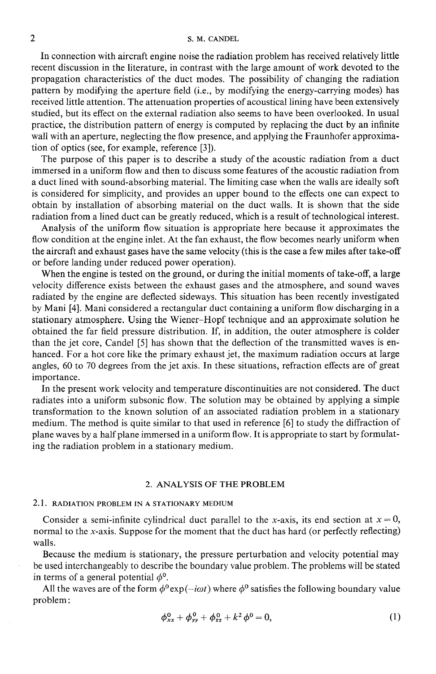# 2 S. M. CANDEL

In connection with aircraft engine noise the radiation problem has received relatively little recent discussion in the literature, in contrast with the large amount of work devoted to the propagation characteristics of the duct modes. The possibility of changing the radiation pattern by modifying the aperture field (i.e., by modifying the energy-carrying modes) has received little attention. The attenuation properties of acoustical lining have been extensively studied, but its effect on the external radiation also seems to have been overlooked. In usual practice, the distribution pattern of energy is computed by replacing the duct by an infinite wall with an aperture, neglecting the flow presence, and applying the Fraunhofer approximation of optics (see, for example, reference [3]).

The purpose of this paper is to describe a study of the acoustic radiation from a duct immersed in a uniform flow and then to discuss some features of the acoustic radiation from a duct lined with sound-absorbing material. The limiting case when the walls are ideally soft is considered for simplicity, and provides an upper bound to the effects one can expect to obtain by installation of absorbing material on the duct walls. It is shown that the side radiation from a lined duct can be greatly reduced, which is a result of technological interest.

Analysis of the uniform flow situation is appropriate here because it approximates the flow condition at the engine inlet. At the fan exhaust, the flow becomes nearly uniform when the aircraft and exhaust gases have the same velocity (this is the case a few miles after take-off or before landing under reduced power operation).

When the engine is tested on the ground, or during the initial moments of take-off, a large velocity difference exists between the exhaust gases and the atmosphere, and sound waves radiated by the engine are deflected sideways. This situation has been recently investigated by Mani [4]. Mani considered a rectangular duct containing a uniform flow discharging in a stationary atmosphere. Using the Wiener-Hopf technique and an approximate solution he obtained the far field pressure distribution. If, in addition, the outer atmosphere is colder than the jet core, Candel [5] has shown that the deflection of the transmitted waves is enhanced. For a hot core like the primary exhaust jet, the maximum radiation occurs at large angles, 60 to 70 degrees from the jet axis. In these situations, refraction effects are of great importance.

In the present work velocity and temperature discontinuities are not considered. The duct radiates into a uniform subsonic flow. The solution may be obtained by applying a simple transformation to the known solution of an associated radiation problem in a stationary medium. The method is quite similar to that used in reference [6] to study the diffraction of plane waves by a half plane immersed in a uniform flow. It is appropriate to start by formulating the radiation problem in a stationary medium.

## 2. ANALYSIS OF THE PROBLEM

#### 2.1. RADIATION PROBLEM IN A STATIONARY MEDIUM

Consider a semi-infinite cylindrical duct parallel to the x-axis, its end section at  $x = 0$ , normal to the x-axis. Suppose for the moment that the duct has hard (or perfectly reflecting) walls.

Because the medium is stationary, the pressure perturbation and velocity potential may be used interchangeably to describe the boundary value problem. The problems will be stated in terms of a general potential  $\phi^0$ .

All the waves are of the form  $\phi^0$ exp( $-i\omega t$ ) where  $\phi^0$  satisfies the following boundary value problem:

$$
\phi_{xx}^0 + \phi_{yy}^0 + \phi_{zz}^0 + k^2 \phi^0 = 0, \tag{1}
$$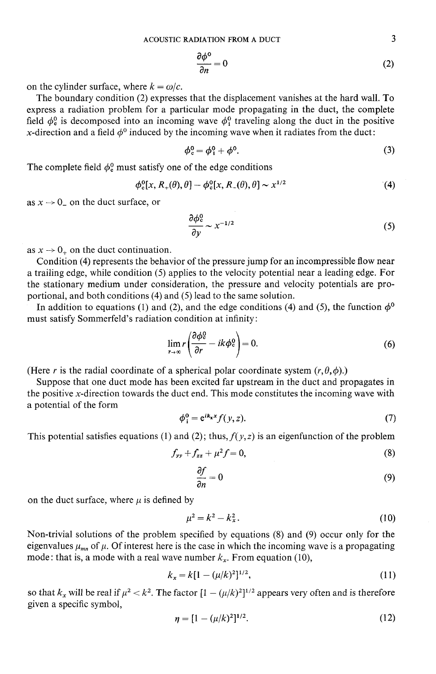$$
\frac{\partial \phi^0}{\partial n} = 0 \tag{2}
$$

on the cylinder surface, where  $k = \omega/c$ .

The boundary condition (2) expresses that the displacement vanishes at the hard wall. To express a radiation problem for a particular mode propagating in the duct, the complete field  $\phi_s^0$  is decomposed into an incoming wave  $\phi_i^0$  traveling along the duct in the positive x-direction and a field  $\phi^0$  induced by the incoming wave when it radiates from the duct:

$$
\phi_{\rm c}^0 = \phi_1^0 + \phi_0^0. \tag{3}
$$

The complete field  $\phi_{\rm c}^0$  must satisfy one of the edge conditions

$$
\phi_c^0[x, R_+(\theta), \theta] - \phi_c^0[x, R_-(\theta), \theta] \sim x^{1/2} \tag{4}
$$

as  $x \rightarrow 0$  on the duct surface, or

$$
\frac{\partial \phi^0_{\epsilon}}{\partial y} \sim x^{-1/2} \tag{5}
$$

as  $x \rightarrow 0_+$  on the duct continuation.

Condition (4) represents the behavior of the pressure jump for an incompressible flow near a trailing edge, while condition (5) applies to the velocity potential near a leading edge. For the stationary medium under consideration, the pressure and velocity potentials are proportional, and both conditions (4) and (5) lead to the same solution.

In addition to equations (1) and (2), and the edge conditions (4) and (5), the function  $\phi^0$ must satisfy Sommerfeld's radiation condition at infinity:

$$
\lim_{r \to \infty} r \left( \frac{\partial \phi^0}{\partial r} - ik \phi^0 \right) = 0. \tag{6}
$$

(Here *r* is the radial coordinate of a spherical polar coordinate system  $(r, \theta, \phi)$ .)

Suppose that one duct mode has been excited far upstream in the duct and propagates in the positive x-direction towards the duct end. This mode constitutes the incoming wave with a potential of the form

$$
\phi_1^0 = e^{ik_x x} f(y, z). \tag{7}
$$

This potential satisfies equations (1) and (2); thus,  $f(y, z)$  is an eigenfunction of the problem

$$
f_{yy} + f_{zz} + \mu^2 f = 0, \tag{8}
$$

$$
\frac{\partial f}{\partial n} = 0 \tag{9}
$$

on the duct surface, where  $\mu$  is defined by

$$
\mu^2 = k^2 - k_x^2. \tag{10}
$$

Non-trivial solutions of the problem specified by equations (8) and (9) occur only for the eigenvalues  $\mu_{mn}$  of  $\mu$ . Of interest here is the case in which the incoming wave is a propagating mode: that is, a mode with a real wave number  $k_x$ . From equation (10),

$$
k_x = k[1 - (\mu/k)^2]^{1/2},\tag{11}
$$

so that  $k_x$  will be real if  $\mu^2 < k^2$ . The factor  $[1 - (\mu/k)^2]^{1/2}$  appears very often and is therefore given a specific symbol,

$$
\eta = [1 - (\mu/k)^2]^{1/2}.
$$
 (12)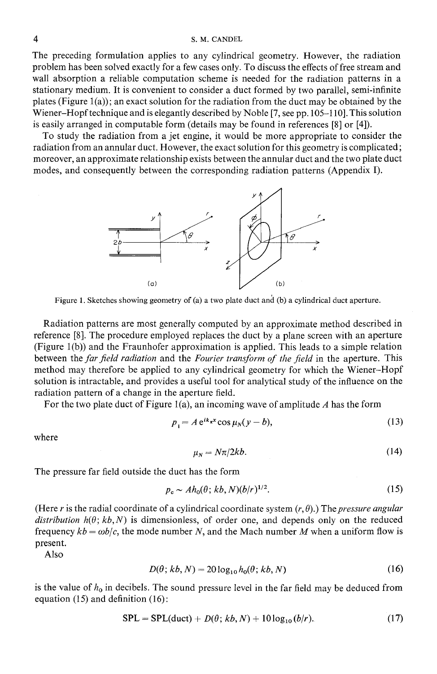The preceding formulation applies to any cylindrical geometry. However, the radiation problem has been solved exactly for a few cases only. To discuss the effects of free stream and wall absorption a reliable computation scheme is needed for the radiation patterns in a stationary medium. It is convenient to consider a duct formed by two parallel, semi-infinite plates (Figure 1(a)); an exact solution for the radiation from the duct may be obtained by the Wiener-Hopftechnique and is elegantly described by Noble [7, see pp. 105-110]. This solution is easily arranged in computable form (details may be found in references [8] or [4]).

To study the radiation from a jet engine, it would be more appropriate to consider the radiation from an annular duct. However, the exact solution for this geometry is complicated; moreover, an approximate relationship exists between the annular duct and the two plate duct modes, and consequently between the corresponding radiation patterns (Appendix I).



Figure 1. Sketches showing geometry of (a) a two plate duct and (b) a cylindrical duct aperture.

Radiation patterns are most generally computed by an approximate method described in reference [8]. The procedure employed replaces the duct by a plane screen with an aperture (Figure l(b)) and the Fraunhofer approximation is applied. This leads to a simple relation between the *far field radiation* and the *Fourier transform of the field* in the aperture. This method may therefore be applied to any cylindrical geometry for which the Wiener-Hopf solution is intractable, and provides a useful tool for analytical study of the influence on the radiation pattern of a change in the aperture field.

For the two plate duct of Figure 1(a), an incoming wave of amplitude  $A$  has the form

$$
p_{i} = A e^{ik_{x}x} \cos \mu_{N}(y - b), \qquad (13)
$$

where

$$
\mu_N = N\pi/2kb. \tag{14}
$$

The pressure far field outside the duct has the form

$$
p_{\rm c} \sim Ah_0(\theta; kb, N)(b/r)^{1/2}.\tag{15}
$$

(Here  $r$  is the radial coordinate of a cylindrical coordinate system  $(r, \theta)$ .) The *pressure angular distribution*  $h(\theta; kb, N)$  *is dimensionless, of order one, and depends only on the reduced* frequency  $kb = \omega b/c$ , the mode number N, and the Mach number M when a uniform flow is present.

Also

$$
D(\theta; kb, N) = 20 \log_{10} h_0(\theta; kb, N) \tag{16}
$$

is the value of *ho* in decibels. The sound pressure level in the far field may be deduced from equation (15) and definition (16) :

$$
SPL = SPL(duct) + D(\theta; kb, N) + 10\log_{10}(b/r). \tag{17}
$$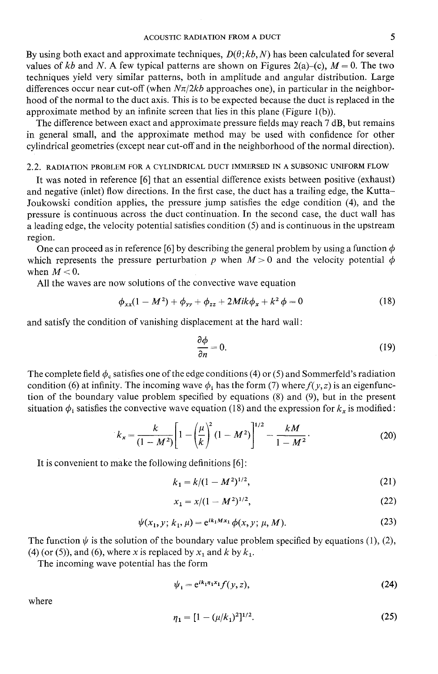By using both exact and approximate techniques,  $D(\theta; kb, N)$  has been calculated for several values of *kb* and *N*. A few typical patterns are shown on Figures 2(a)–(c),  $M = 0$ . The two techniques yield very similar patterns, both in amplitude and angular distribution. Large differences occur near cut-off (when  $N\pi/2kb$  approaches one), in particular in the neighborhood of the normal to the duct axis. This is to be expected because the duct is replaced in the approximate method by an infinite screen that lies in this plane (Figure 1(b)).

The difference between exact and approximate pressure fields may reach 7 dB, but remains in general small, and the approximate method may be used with confidence for other cylindrical geometries (except near cut-off and in the neighborhood of the normal direction).

## 2.2. RADIATION PROBLEM FOR A CYLINDRICAL DUCT IMMERSED IN A SUBSONIC UNIFORM FLOW

It was noted in reference [6] that an essential difference exists between positive (exhaust) and negative (inlet) flow directions. In the first case, the duct has a trailing edge, the Kutta-Joukowski condition applies, the pressure jump satisfies the edge condition (4), and the pressure is continuous across the duct continuation. In the second case, the duct wall has a leading edge, the velocity potential satisfies condition (5) and is continuous in the upstream region.

One can proceed as in reference [6] by describing the general problem by using a function  $\phi$ which represents the pressure perturbation p when  $M>0$  and the velocity potential  $\phi$ when  $M < 0$ .

All the waves are now solutions of the convective wave equation

$$
\phi_{xx}(1 - M^2) + \phi_{yy} + \phi_{zz} + 2Mik\phi_x + k^2\phi = 0 \tag{18}
$$

and satisfy the condition of vanishing displacement at the hard wall:

$$
\frac{\partial \phi}{\partial n} = 0. \tag{19}
$$

The complete field  $\phi_c$  satisfies one of the edge conditions (4) or (5) and Sommerfeld's radiation condition (6) at infinity. The incoming wave  $\phi_i$  has the form (7) where  $f(y, z)$  is an eigenfunction of the boundary value problem specified by equations (8) and (9), but in the present

situation 
$$
\phi_1
$$
 satisfies the convective wave equation (18) and the expression for  $k_x$  is modified:  
\n
$$
k_x = \frac{k}{(1 - M^2)} \left[ 1 - \left(\frac{\mu}{k}\right)^2 (1 - M^2) \right]^{1/2} - \frac{kM}{1 - M^2}.
$$
\n(20)

It is convenient to make the following definitions [6]:

$$
k_1 = k/(1 - M^2)^{1/2},\tag{21}
$$

$$
x_1 = x/(1 - M^2)^{1/2},\tag{22}
$$

$$
\psi(x_1, y; k_1, \mu) = e^{ik_1 M x_1} \phi(x, y; \mu, M). \tag{23}
$$

The function  $\psi$  is the solution of the boundary value problem specified by equations (1), (2), (4) (or (5)), and (6), where *x* is replaced by  $x_1$  and *k* by  $k_1$ .

The incoming wave potential has the form

$$
\psi_{i} = e^{ik_{1}n_{1}x_{1}}f(y, z), \qquad (24)
$$

where

$$
\eta_1 = [1 - (\mu/k_1)^2]^{1/2}.
$$
 (25)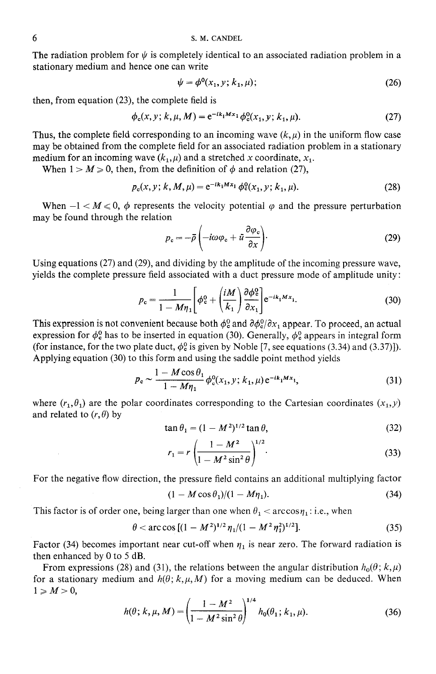The radiation problem for  $\psi$  is completely identical to an associated radiation problem in a stationary medium and hence one can write

$$
\psi = \phi^{0}(x_{1}, y; k_{1}, \mu); \tag{26}
$$

then, from equation (23), the complete field is

$$
\phi_{c}(x, y; k, \mu, M) = e^{-ik_{1}Mx_{1}} \phi_{c}^{0}(x_{1}, y; k_{1}, \mu).
$$
\n(27)

Thus, the complete field corresponding to an incoming wave  $(k,\mu)$  in the uniform flow case may be obtained from the complete field for an associated radiation problem in a stationary medium for an incoming wave  $(k_1, \mu)$  and a stretched *x* coordinate,  $x_1$ .

When  $1 > M \ge 0$ , then, from the definition of  $\phi$  and relation (27),

$$
p_{c}(x, y; k, M, \mu) = e^{-ik_{1}Mx_{1}} \phi_{c}^{0}(x_{1}, y; k_{1}, \mu).
$$
 (28)

When  $-1 < M \le 0$ ,  $\phi$  represents the velocity potential  $\varphi$  and the pressure perturbation may be found through the relation

$$
p_{\rm c} = -\bar{\rho} \left( -i\omega \varphi_{\rm c} + \bar{u} \frac{\partial \varphi_{\rm c}}{\partial x} \right). \tag{29}
$$

Using equations (27) and (29), and dividing by the amplitude of the incoming pressure wave, yields the complete pressure field associated with a duct pressure mode of amplitude unity:

$$
p_{\rm c} = \frac{1}{1 - M\eta_1} \left[ \phi_{\rm c}^0 + \left( \frac{iM}{k_1} \right) \frac{\partial \phi_{\rm c}^0}{\partial x_1} \right] e^{-ik_1 M x_1} . \tag{30}
$$

This expression is not convenient because both  $\phi_{\rm s}^{\rm o}$  and  $\partial \phi_{\rm s}^{\rm o}/\partial x_1$  appear. To proceed, an actual expression for  $\phi_{\rm c}^{\rm o}$  has to be inserted in equation (30). Generally,  $\phi_{\rm c}^{\rm o}$  appears in integral form (for instance, for the two plate duct,  $\phi_{\rm s}^{\rm o}$  is given by Noble [7, see equations (3.34) and (3.37)]). Applying equation (30) to this form and using the saddle point method yields

$$
p_{\rm c} \sim \frac{1 - M \cos \theta_1}{1 - M \eta_1} \phi_{\rm c}^0(x_1, y; k_1, \mu) e^{-ik_1 M x_1},\tag{31}
$$

where  $(r_1,\theta_1)$  are the polar coordinates corresponding to the Cartesian coordinates  $(x_1,y)$ and related to  $(r, \theta)$  by

$$
\tan \theta_1 = (1 - M^2)^{1/2} \tan \theta,\tag{32}
$$

$$
r_1 = r \left( \frac{1 - M^2}{1 - M^2 \sin^2 \theta} \right)^{1/2}.
$$
 (33)

For the negative flow direction, the pressure field contains an additional multiplying factor

$$
(1 - M\cos\theta_1)/(1 - M\eta_1). \tag{34}
$$

This factor is of order one, being larger than one when  $\theta_1 < \arccos \eta_1$ : i.e., when

$$
\theta < \arccos\left[(1 - M^2)^{1/2} \eta_1 / (1 - M^2 \eta_1^2)^{1/2}\right].\tag{35}
$$

Factor (34) becomes important near cut-off when  $\eta_1$  is near zero. The forward radiation is then enhanced by  $0$  to  $5$  dB.

From expressions (28) and (31), the relations between the angular distribution  $h_0(\theta; k, \mu)$ for a stationary medium and  $h(\theta; k, \mu, M)$  for a moving medium can be deduced. When  $1 \ge M > 0$ ,

$$
h(\theta; k, \mu, M) = \left(\frac{1 - M^2}{1 - M^2 \sin^2 \theta}\right)^{1/4} h_0(\theta_1; k_1, \mu).
$$
 (36)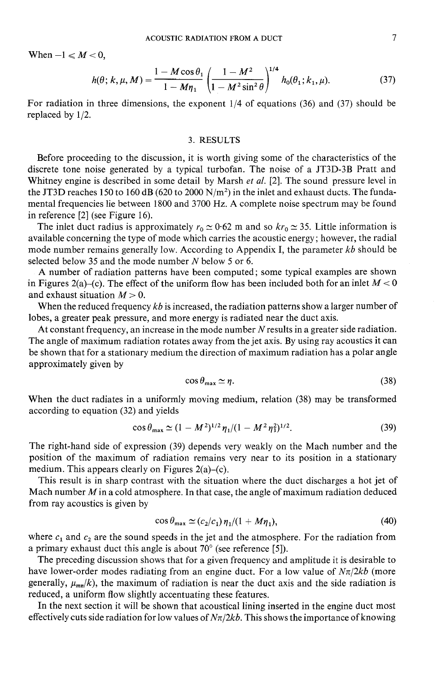When  $-1 \leqslant M < 0$ ,

$$
h(\theta; k, \mu, M) = \frac{1 - M \cos \theta_1}{1 - M \eta_1} \left( \frac{1 - M^2}{1 - M^2 \sin^2 \theta} \right)^{1/4} h_0(\theta_1; k_1, \mu).
$$
 (37)

For radiation in three dimensions, the exponent 1/4 of equations (36) and (37) should be replaced by 1/2.

## 3. RESULTS

Before proceeding to the discussion, it is worth giving some of the characteristics of the discrete tone noise generated by a typical turbofan. The noise of a JT3D-3B Pratt and Whitney engine is described in some detail by Marsh *et al.* [2]. The sound pressure level in the JT3D reaches 150 to 160 dB (620 to 2000  $N/m<sup>2</sup>$ ) in the inlet and exhaust ducts. The fundamental frequencies lie between 1800 and 3700 Hz. A complete noise spectrum may be found in reference [2] (see Figure 16).

The inlet duct radius is approximately  $r_0 \approx 0.62$  m and so  $kr_0 \approx 35$ . Little information is available concerning the type of mode which carries the acoustic energy; however, the radial mode number remains generally low. According to Appendix I, the parameter *kb* should be selected below 35 and the mode number N below 5 or 6.

A number of radiation patterns have been computed; some typical examples are shown in Figures 2(a)–(c). The effect of the uniform flow has been included both for an inlet  $M < 0$ and exhaust situation  $M > 0$ .

When the reduced frequency *kb* is increased, the radiation patterns show a larger number of lobes, a greater peak pressure, and more energy is radiated near the duct axis.

At constant frequency, an increase in the mode number N results in a greater side radiation. The angle of maximum radiation rotates away from the jet axis. By using ray acoustics it can be shown that for a stationary medium the direction of maximum radiation has a polar angle approximately given by

$$
\cos \theta_{\text{max}} \simeq \eta. \tag{38}
$$

When the duct radiates in a uniformly moving medium, relation (38) may be transformed according to equation (32) and yields

$$
\cos \theta_{\text{max}} \simeq (1 - M^2)^{1/2} \eta_1 / (1 - M^2 \eta_1^2)^{1/2}.
$$
 (39)

The right-hand side of expression (39) depends very weakly on the Mach number and the position of the maximum of radiation remains very near to its position in a stationary medium. This appears clearly on Figures  $2(a)$ –(c).

This result is in sharp contrast with the situation where the duct discharges a hot jet of Mach number *Min* a cold atmosphere. In that case, the angle of maximum radiation deduced from ray acoustics is given by

$$
\cos \theta_{\text{max}} \simeq (c_2/c_1) \eta_1/(1 + M \eta_1), \tag{40}
$$

where  $c_1$  and  $c_2$  are the sound speeds in the jet and the atmosphere. For the radiation from a primary exhaust duct this angle is about 70° (see reference [5]).

The preceding discussion shows that for a given frequency and amplitude it is desirable to have lower-order modes radiating from an engine duct. For a low value of *Nn/2kb* (more generally,  $\mu_{mn}/k$ , the maximum of radiation is near the duct axis and the side radiation is reduced, a uniform flow slightly accentuating these features.

In the next section it will be shown that acoustical lining inserted in the engine duct most effectively cuts side radiation for low values of  $N\pi/2kb$ . This shows the importance of knowing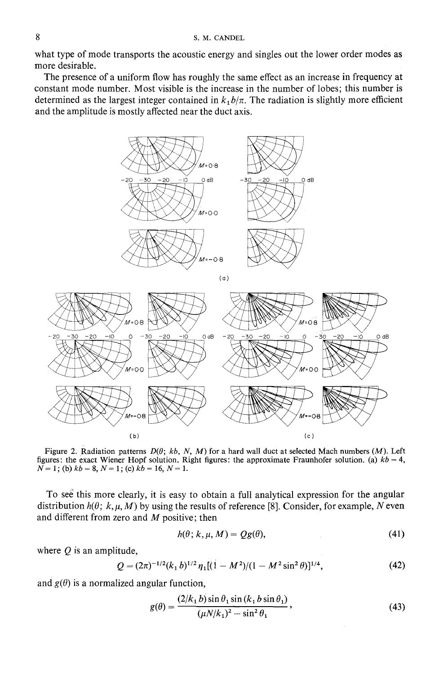what type of mode transports the acoustic energy and singles out the lower order modes as more desirable.

The presence of a uniform flow has roughly the same effect as an increase in frequency at constant mode number. Most visible is the increase in the number of lobes; this number is determined as the largest integer contained in  $k_1 b/\pi$ . The radiation is slightly more efficient and the amplitude is mostly affected near the duct axis.



Figure 2. Radiation patterns  $D(\theta; k, N, M)$  for a hard wall duct at selected Mach numbers *(M)*. Left figures: the exact Wiener Hopf solution. Right figures: the approximate Fraunhofer solution. (a)  $kb = 4$ ,  $N = 1$ ; (b)  $kb = 8$ ,  $N = 1$ ; (c)  $kb = 16$ ,  $N = 1$ .

To see this more clearly, it is easy to obtain a full analytical expression for the angular distribution  $h(\theta; k, \mu, M)$  by using the results of reference [8]. Consider, for example, N even and different from zero and  $M$  positive; then

$$
h(\theta; k, \mu, M) = Qg(\theta), \tag{41}
$$

where  $Q$  is an amplitude,

$$
Q = (2\pi)^{-1/2} (k_1 b)^{1/2} \eta_1 [(\dot{1} - M^2)/(1 - M^2 \sin^2 \theta)]^{1/4}, \tag{42}
$$

and  $g(\theta)$  is a normalized angular function,

$$
g(\theta) = \frac{(2/k_1 b)\sin\theta_1 \sin(k_1 b \sin\theta_1)}{(\mu N/k_1)^2 - \sin^2\theta_1},
$$
\n(43)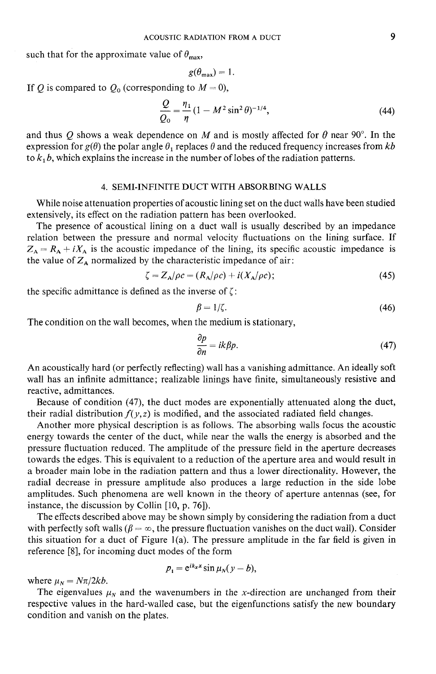such that for the approximate value of  $\theta_{\text{max}}$ ,

$$
g(\theta_{\max})=1.
$$

If Q is compared to  $Q_0$  (corresponding to  $M = 0$ ),

$$
\frac{Q}{Q_0} = \frac{\eta_1}{\eta} (1 - M^2 \sin^2 \theta)^{-1/4},\tag{44}
$$

and thus Q shows a weak dependence on M and is mostly affected for  $\theta$  near 90°. In the expression for  $g(\theta)$  the polar angle  $\theta_1$  replaces  $\theta$  and the reduced frequency increases from *kb* to  $k_1 b$ , which explains the increase in the number of lobes of the radiation patterns.

#### 4. SEMI-INFINITE DUCT WITH ABSORBING WALLS

While noise attenuation properties of acoustic lining set on the duct walls have been studied extensively, its effect on the radiation pattern has been overlooked.

The presence of acoustical lining on a duct wall is usually described by an impedance relation between the pressure and normal velocity fluctuations on the lining surface. If  $Z_A = R_A + iX_A$  is the acoustic impedance of the lining, its specific acoustic impedance is the value of  $Z_A$  normalized by the characteristic impedance of air:<br> $\zeta = Z_A/\rho c = (R_A/\rho c) + i(X_A/\rho c)$ ;

$$
\zeta = Z_{\rm A}/\rho c = (R_{\rm A}/\rho c) + i(X_{\rm A}/\rho c); \tag{45}
$$

the specific admittance is defined as the inverse of  $\zeta$ :

$$
\beta = 1/\zeta. \tag{46}
$$

The condition on the wall becomes, when the medium is stationary,

$$
\frac{\partial p}{\partial n} = ik\beta p. \tag{47}
$$

An acoustically hard (or perfectly reflecting) wall has a vanishing admittance. An ideally soft wall has an infinite admittance; realizable linings have finite, simultaneously resistive and reactive, admittances.

Because of condition (47), the duct modes are exponentially attenuated along the duct, their radial distribution  $f(y, z)$  is modified, and the associated radiated field changes.

Another more physical description is as follows. The absorbing walls focus the acoustic energy towards the center of the duct, while near the walls the energy is absorbed and the pressure fluctuation reduced. The amplitude of the pressure field in the aperture decreases towards the edges. This is equivalent to a reduction of the aperture area and would result in a broader main lobe in the radiation pattern and thus a lower directionality. However, the radial decrease in pressure amplitude also produces a large reduction in the side lobe amplitudes. Such phenomena are well known in the theory of aperture antennas (see, for instance, the discussion by Collin [10, p. 76]).

The effects described above may be shown simply by considering the radiation from a duct with perfectly soft walls ( $\beta = \infty$ , the pressure fluctuation vanishes on the duct wall). Consider this situation for a duct of Figure  $1(a)$ . The pressure amplitude in the far field is given in reference [8], for incoming duct modes of the form

 $p_1 = e^{ik_x x} \sin \mu_N(y - b),$ 

where  $\mu_N = N\pi/2kb$ .

The eigenvalues  $\mu_N$  and the wavenumbers in the x-direction are unchanged from their respective values in the hard-walled case, but the eigenfunctions satisfy the new boundary condition and vanish on the plates.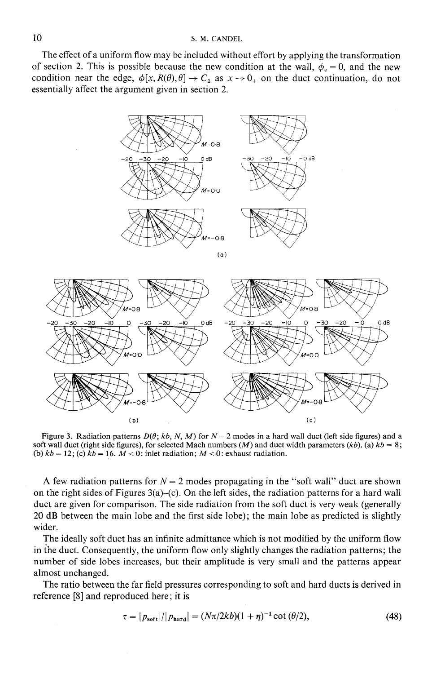The effect of a uniform flow may be included without effort by applying the transformation of section 2. This is possible because the new condition at the wall,  $\phi_c = 0$ , and the new condition near the edge,  $\phi[x, R(\theta), \theta] \rightarrow C_1$  as  $x \rightarrow 0_+$  on the duct continuation, do not essentially affect the argument given in section 2.



Figure 3. Radiation patterns  $D(\theta; kb, N, M)$  for  $N = 2$  modes in a hard wall duct (left side figures) and a soft wall duct (right side figures), for selected Mach numbers  $(M)$  and duct width parameters  $(kb)$ . (a)  $kb = 8$ ; (b)  $kb = 12$ ; (c)  $kb = 16$ .  $M < 0$ : inlet radiation;  $M < 0$ : exhaust radiation.

A few radiation patterns for  $N = 2$  modes propagating in the "soft wall" duct are shown on the right sides of Figures  $3(a)$ –(c). On the left sides, the radiation patterns for a hard wall duct are given for comparison. The side radiation from the soft duct is very weak (generally 20 dB between the main lobe and the first side lobe); the main lobe as predicted is slightly wider.

The ideally soft duct has an infinite admittance which is not modified by the uniform flow in the duct. Consequently, the uniform flow only slightly changes the radiation patterns; the number of side lobes increases, but their amplitude is very small and the patterns appear almost unchanged.

The ratio between the far field pressures corresponding to soft and hard ducts is derived in reference [8] and reproduced here; it is

$$
\tau = |p_{\text{soft}}|/|p_{\text{hard}}| = (N\pi/2kb)(1+\eta)^{-1}\cot(\theta/2), \tag{48}
$$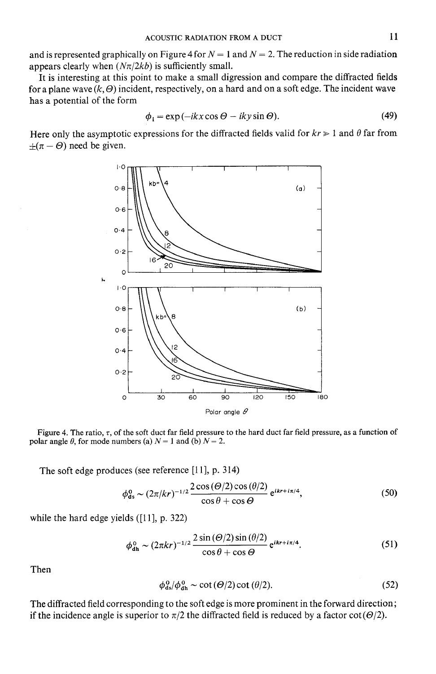and is represented graphically on Figure 4 for  $N = 1$  and  $N = 2$ . The reduction in side radiation appears clearly when  $(N\pi/2kb)$  is sufficiently small.

It is interesting at this point to make a small digression and compare the diffracted fields for a plane wave  $(k, \Theta)$  incident, respectively, on a hard and on a soft edge. The incident wave has a potential of the form

$$
\phi_i = \exp(-ikx \cos \Theta - iky \sin \Theta). \tag{49}
$$

Here only the asymptotic expressions for the diffracted fields valid for  $kr \geq 1$  and  $\theta$  far from  $\pm(\pi - \Theta)$  need be given.



Figure 4. The ratio,  $\tau$ , of the soft duct far field pressure to the hard duct far field pressure, as a function of polar angle  $\theta$ , for mode numbers (a)  $N = 1$  and (b)  $N = 2$ .

The soft edge produces (see reference [11], p. 314)  
\n
$$
\phi_{\text{ds}}^0 \sim (2\pi/kr)^{-1/2} \frac{2\cos(\Theta/2)\cos(\theta/2)}{\cos\theta + \cos\Theta} e^{ikr + i\pi/4},
$$
\n(50)

while the hard edge yields ([11], p. 322)

$$
\phi_{\text{dh}}^0 \sim (2\pi kr)^{-1/2} \frac{2\sin(\Theta/2)\sin(\theta/2)}{\cos\theta + \cos\Theta} e^{ikr + i\pi/4}.
$$
 (51)

Then

$$
\phi_{\rm ds}^0/\phi_{\rm dn}^0 \sim \cot\left(\frac{\Theta}{2}\right)\cot\left(\frac{\theta}{2}\right). \tag{52}
$$

The diffracted field corresponding to the soft edge is more prominent in the forward direction; if the incidence angle is superior to  $\pi/2$  the diffracted field is reduced by a factor cot ( $\Theta/2$ ).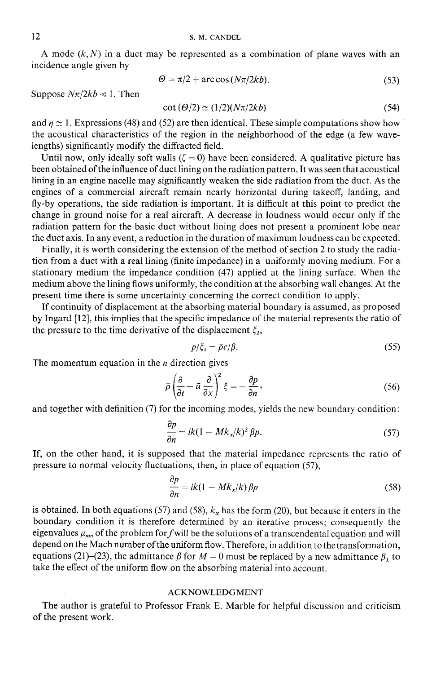A mode  $(k, N)$  in a duct may be represented as a combination of plane waves with an incidence angle given by

$$
\Theta = \pi/2 + \arccos(N\pi/2kb). \tag{53}
$$

Suppose  $N\pi/2kb \ll 1$ . Then

$$
\cot(\Theta/2) \simeq (1/2)(N\pi/2kb) \tag{54}
$$

and  $\eta \simeq 1$ . Expressions (48) and (52) are then identical. These simple computations show how the acoustical characteristics of the region in the neighborhood of the edge (a few wavelengths) significantly modify the diffracted field.

Until now, only ideally soft walls  $(\zeta = 0)$  have been considered. A qualitative picture has been obtained of the influence of duct lining on the radiation pattern. It was seen that acoustical lining in an engine nacelle may significantly weaken the side radiation from the duct. As the engines of a commercial aircraft remain nearly horizontal during takeoff, landing, and fly-by operations, the side radiation is important. It is difficult at this point to predict the change in ground noise for a real aircraft. A decrease in loudness would occur only if the radiation pattern for the basic duct without lining does not present a prominent lobe near the duct axis. **In** any event, a reduction in the duration of maximum loudness can be expected.

Finally, it is worth considering the extension of the method of section 2 to study the radiation from a duct with a real lining (finite impedance) in a uniformly moving medium. For a stationary medium the impedance condition (47) applied at the lining surface. When the medium above the lining flows uniformly, the condition at the absorbing wall changes. At the present time there is some uncertainty concerning the correct condition to apply.

**If** continuity of displacement at the absorbing material boundary is assumed, as proposed by Ingard [12], this implies that the specific impedance of the material represents the ratio of the pressure to the time derivative of the displacement  $\xi_t$ ,

$$
p/\xi_t = \bar{\rho}c/\beta. \tag{55}
$$

The momentum equation in the *n* direction gives

$$
\bar{\rho}\left(\frac{\partial}{\partial t} + \bar{u}\frac{\partial}{\partial x}\right)^2 \xi = -\frac{\partial p}{\partial n},\tag{56}
$$

and together with definition (7) for the incoming modes, yields the new boundary condition:

$$
\frac{\partial p}{\partial n} = ik(1 - Mk_x/k)^2 \beta p. \tag{57}
$$

If, on the other hand, it is supposed that the material impedance represents the ratio of pressure to normal velocity fluctuations, then, in place of equation (57),

$$
\frac{\partial p}{\partial n} = ik(1 - Mk_x/k) \beta p \tag{58}
$$

is obtained. **In** both equations (57) and (58), *kx* has the form (20), but because it enters in the boundary condition it is therefore determined by an iterative process; consequently the eigenvalues  $\mu_{mn}$  of the problem for f will be the solutions of a transcendental equation and will depend on the Mach number of the uniform flow. Therefore, in addition to the transformation, equations (21)-(23), the admittance  $\beta$  for  $M = 0$  must be replaced by a new admittance  $\beta_1$  to take the effect of the uniform flow on the absorbing material into account.

## ACKNOWLEDGMENT

The author is grateful to Professor Frank E. Marble for helpful discussion and criticism of the present work.